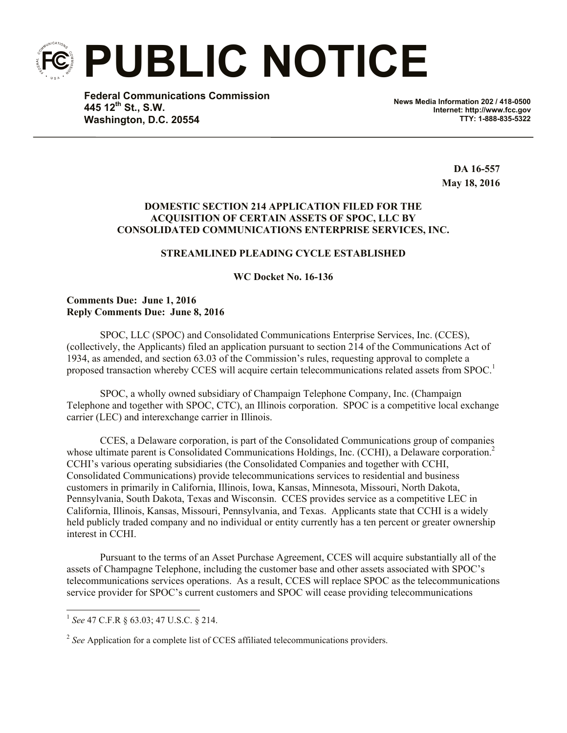**PUBLIC NOTICE**

**Federal Communications Commission 445 12th St., S.W. Washington, D.C. 20554**

**News Media Information 202 / 418-0500 Internet: http://www.fcc.gov TTY: 1-888-835-5322**

> **DA 16-557 May 18, 2016**

# **DOMESTIC SECTION 214 APPLICATION FILED FOR THE ACQUISITION OF CERTAIN ASSETS OF SPOC, LLC BY CONSOLIDATED COMMUNICATIONS ENTERPRISE SERVICES, INC.**

## **STREAMLINED PLEADING CYCLE ESTABLISHED**

**WC Docket No. 16-136**

## **Comments Due: June 1, 2016 Reply Comments Due: June 8, 2016**

SPOC, LLC (SPOC) and Consolidated Communications Enterprise Services, Inc. (CCES), (collectively, the Applicants) filed an application pursuant to section 214 of the Communications Act of 1934, as amended, and section 63.03 of the Commission's rules, requesting approval to complete a proposed transaction whereby CCES will acquire certain telecommunications related assets from SPOC.<sup>1</sup>

SPOC, a wholly owned subsidiary of Champaign Telephone Company, Inc. (Champaign Telephone and together with SPOC, CTC), an Illinois corporation. SPOC is a competitive local exchange carrier (LEC) and interexchange carrier in Illinois.

CCES, a Delaware corporation, is part of the Consolidated Communications group of companies whose ultimate parent is Consolidated Communications Holdings, Inc. (CCHI), a Delaware corporation.<sup>2</sup> CCHI's various operating subsidiaries (the Consolidated Companies and together with CCHI, Consolidated Communications) provide telecommunications services to residential and business customers in primarily in California, Illinois, Iowa, Kansas, Minnesota, Missouri, North Dakota, Pennsylvania, South Dakota, Texas and Wisconsin. CCES provides service as a competitive LEC in California, Illinois, Kansas, Missouri, Pennsylvania, and Texas. Applicants state that CCHI is a widely held publicly traded company and no individual or entity currently has a ten percent or greater ownership interest in CCHI.

Pursuant to the terms of an Asset Purchase Agreement, CCES will acquire substantially all of the assets of Champagne Telephone, including the customer base and other assets associated with SPOC's telecommunications services operations. As a result, CCES will replace SPOC as the telecommunications service provider for SPOC's current customers and SPOC will cease providing telecommunications

l

<sup>1</sup> *See* 47 C.F.R § 63.03; 47 U.S.C. § 214.

<sup>&</sup>lt;sup>2</sup> See Application for a complete list of CCES affiliated telecommunications providers.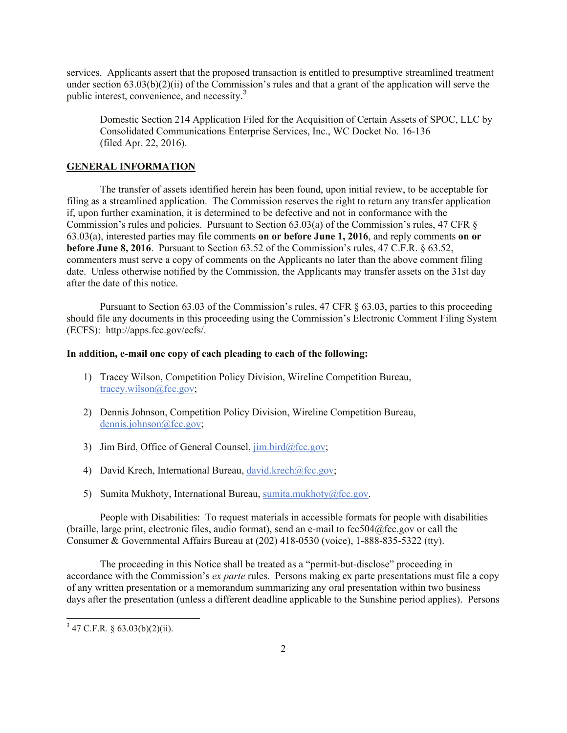services. Applicants assert that the proposed transaction is entitled to presumptive streamlined treatment under section 63.03(b)(2)(ii) of the Commission's rules and that a grant of the application will serve the public interest, convenience, and necessity.<sup>3</sup>

Domestic Section 214 Application Filed for the Acquisition of Certain Assets of SPOC, LLC by Consolidated Communications Enterprise Services, Inc., WC Docket No. 16-136 (filed Apr. 22, 2016).

### **GENERAL INFORMATION**

The transfer of assets identified herein has been found, upon initial review, to be acceptable for filing as a streamlined application. The Commission reserves the right to return any transfer application if, upon further examination, it is determined to be defective and not in conformance with the Commission's rules and policies. Pursuant to Section 63.03(a) of the Commission's rules, 47 CFR § 63.03(a), interested parties may file comments **on or before June 1, 2016**, and reply comments **on or before June 8, 2016**. Pursuant to Section 63.52 of the Commission's rules, 47 C.F.R. § 63.52, commenters must serve a copy of comments on the Applicants no later than the above comment filing date. Unless otherwise notified by the Commission, the Applicants may transfer assets on the 31st day after the date of this notice.

Pursuant to Section 63.03 of the Commission's rules, 47 CFR § 63.03, parties to this proceeding should file any documents in this proceeding using the Commission's Electronic Comment Filing System (ECFS): http://apps.fcc.gov/ecfs/.

#### **In addition, e-mail one copy of each pleading to each of the following:**

- 1) Tracey Wilson, Competition Policy Division, Wireline Competition Bureau, tracey.wilson@fcc.gov;
- 2) Dennis Johnson, Competition Policy Division, Wireline Competition Bureau, dennis.johnson@fcc.gov;
- 3) Jim Bird, Office of General Counsel,  $\lim_{\alpha \to 0}$  bird@fcc.gov;
- 4) David Krech, International Bureau, david.krech@fcc.gov;
- 5) Sumita Mukhoty, International Bureau, sumita.mukhoty@fcc.gov.

People with Disabilities: To request materials in accessible formats for people with disabilities (braille, large print, electronic files, audio format), send an e-mail to fcc504@fcc.gov or call the Consumer & Governmental Affairs Bureau at (202) 418-0530 (voice), 1-888-835-5322 (tty).

The proceeding in this Notice shall be treated as a "permit-but-disclose" proceeding in accordance with the Commission's *ex parte* rules. Persons making ex parte presentations must file a copy of any written presentation or a memorandum summarizing any oral presentation within two business days after the presentation (unless a different deadline applicable to the Sunshine period applies). Persons

 $3^{3}$  47 C.F.R. § 63.03(b)(2)(ii).